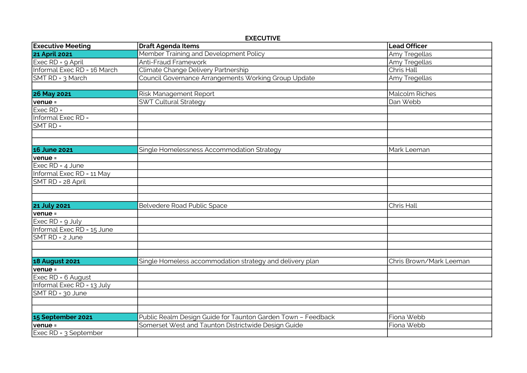EXECUTIVE

| <b>Executive Meeting</b>    | <b>Draft Agenda Items</b>                                    | <b>Lead Officer</b>     |
|-----------------------------|--------------------------------------------------------------|-------------------------|
| <b>21 April 2021</b>        | Member Training and Development Policy                       | Amy Tregellas           |
| Exec RD = 9 April           | <b>Anti-Fraud Framework</b>                                  | Amy Tregellas           |
| Informal Exec RD = 16 March | Climate Change Delivery Partnership                          | Chris Hall              |
| SMT RD = 3 March            | Council Governance Arrangements Working Group Update         | Amy Tregellas           |
|                             |                                                              |                         |
| <b>26 May 2021</b>          | Risk Management Report                                       | <b>Malcolm Riches</b>   |
| venue =                     | <b>SWT Cultural Strategy</b>                                 | Dan Webb                |
| $Exec RD =$                 |                                                              |                         |
| Informal Exec RD =          |                                                              |                         |
| $SMTRD =$                   |                                                              |                         |
|                             |                                                              |                         |
|                             |                                                              |                         |
| <b>16 June 2021</b>         | Single Homelessness Accommodation Strategy                   | Mark Leeman             |
| $venue =$                   |                                                              |                         |
| Exec RD = 4 June            |                                                              |                         |
| Informal Exec RD = 11 May   |                                                              |                         |
| SMT RD = 28 April           |                                                              |                         |
|                             |                                                              |                         |
|                             |                                                              |                         |
| <b>21 July 2021</b>         | Belvedere Road Public Space                                  | Chris Hall              |
| $venue =$                   |                                                              |                         |
| Exec $RD = 9$ July          |                                                              |                         |
| Informal Exec RD = 15 June  |                                                              |                         |
| SMT RD = 2 June             |                                                              |                         |
|                             |                                                              |                         |
|                             |                                                              |                         |
| <b>18 August 2021</b>       | Single Homeless accommodation strategy and delivery plan     | Chris Brown/Mark Leeman |
| $venue =$                   |                                                              |                         |
| Exec RD = 6 August          |                                                              |                         |
| Informal Exec RD = 13 July  |                                                              |                         |
| SMT RD = 30 June            |                                                              |                         |
|                             |                                                              |                         |
|                             |                                                              |                         |
| 15 September 2021           | Public Realm Design Guide for Taunton Garden Town - Feedback | Fiona Webb              |
| $venue =$                   | Somerset West and Taunton Districtwide Design Guide          | Fiona Webb              |
| Exec RD = 3 September       |                                                              |                         |